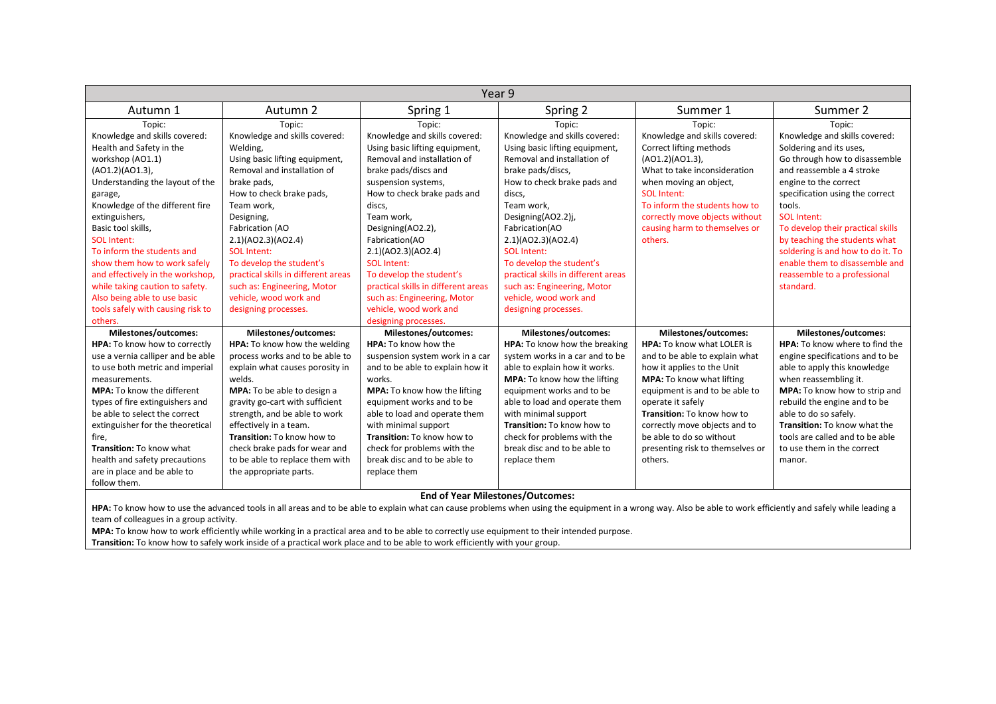| Year 9                            |                                     |                                     |                                     |                                   |                                      |  |
|-----------------------------------|-------------------------------------|-------------------------------------|-------------------------------------|-----------------------------------|--------------------------------------|--|
| Autumn 1                          | Autumn 2                            | Spring 1                            | Spring 2                            | Summer 1                          | Summer 2                             |  |
| Topic:                            | Topic:                              | Topic:                              | Topic:                              | Topic:                            | Topic:                               |  |
| Knowledge and skills covered:     | Knowledge and skills covered:       | Knowledge and skills covered:       | Knowledge and skills covered:       | Knowledge and skills covered:     | Knowledge and skills covered:        |  |
| Health and Safety in the          | Welding,                            | Using basic lifting equipment,      | Using basic lifting equipment,      | Correct lifting methods           | Soldering and its uses,              |  |
| workshop (AO1.1)                  | Using basic lifting equipment,      | Removal and installation of         | Removal and installation of         | $(AO1.2)(AO1.3)$ ,                | Go through how to disassemble        |  |
| (AO1.2)(AO1.3),                   | Removal and installation of         | brake pads/discs and                | brake pads/discs,                   | What to take inconsideration      | and reassemble a 4 stroke            |  |
| Understanding the layout of the   | brake pads,                         | suspension systems,                 | How to check brake pads and         | when moving an object,            | engine to the correct                |  |
| garage,                           | How to check brake pads,            | How to check brake pads and         | discs,                              | <b>SOL Intent:</b>                | specification using the correct      |  |
| Knowledge of the different fire   | Team work,                          | discs,                              | Team work.                          | To inform the students how to     | tools.                               |  |
| extinguishers,                    | Designing,                          | Team work.                          | Designing(AO2.2)j,                  | correctly move objects without    | SOL Intent:                          |  |
| Basic tool skills.                | Fabrication (AO                     | Designing(AO2.2),                   | Fabrication(AO                      | causing harm to themselves or     | To develop their practical skills    |  |
| <b>SOL</b> Intent:                | 2.1)(AO2.3)(AO2.4)                  | Fabrication(AO                      | 2.1)(AO2.3)(AO2.4)                  | others.                           | by teaching the students what        |  |
| To inform the students and        | <b>SOL Intent:</b>                  | 2.1)(AO2.3)(AO2.4)                  | <b>SOL Intent:</b>                  |                                   | soldering is and how to do it. To    |  |
| show them how to work safely      | To develop the student's            | <b>SOL Intent:</b>                  | To develop the student's            |                                   | enable them to disassemble and       |  |
| and effectively in the workshop,  | practical skills in different areas | To develop the student's            | practical skills in different areas |                                   | reassemble to a professional         |  |
| while taking caution to safety.   | such as: Engineering, Motor         | practical skills in different areas | such as: Engineering, Motor         |                                   | standard.                            |  |
| Also being able to use basic      | vehicle, wood work and              | such as: Engineering, Motor         | vehicle, wood work and              |                                   |                                      |  |
| tools safely with causing risk to | designing processes.                | vehicle, wood work and              | designing processes.                |                                   |                                      |  |
| others.                           |                                     | designing processes.                |                                     |                                   |                                      |  |
| Milestones/outcomes:              | Milestones/outcomes:                | <b>Milestones/outcomes:</b>         | <b>Milestones/outcomes:</b>         | <b>Milestones/outcomes:</b>       | Milestones/outcomes:                 |  |
| HPA: To know how to correctly     | HPA: To know how the welding        | HPA: To know how the                | HPA: To know how the breaking       | <b>HPA:</b> To know what LOLER is | HPA: To know where to find the       |  |
| use a vernia calliper and be able | process works and to be able to     | suspension system work in a car     | system works in a car and to be     | and to be able to explain what    | engine specifications and to be      |  |
| to use both metric and imperial   | explain what causes porosity in     | and to be able to explain how it    | able to explain how it works.       | how it applies to the Unit        | able to apply this knowledge         |  |
| measurements.                     | welds.                              | works.                              | <b>MPA:</b> To know how the lifting | <b>MPA:</b> To know what lifting  | when reassembling it.                |  |
| MPA: To know the different        | <b>MPA:</b> To be able to design a  | MPA: To know how the lifting        | equipment works and to be           | equipment is and to be able to    | <b>MPA:</b> To know how to strip and |  |
| types of fire extinguishers and   | gravity go-cart with sufficient     | equipment works and to be           | able to load and operate them       | operate it safely                 | rebuild the engine and to be         |  |
| be able to select the correct     | strength, and be able to work       | able to load and operate them       | with minimal support                | Transition: To know how to        | able to do so safely.                |  |
| extinguisher for the theoretical  | effectively in a team.              | with minimal support                | Transition: To know how to          | correctly move objects and to     | Transition: To know what the         |  |
| fire.                             | Transition: To know how to          | Transition: To know how to          | check for problems with the         | be able to do so without          | tools are called and to be able      |  |
| Transition: To know what          | check brake pads for wear and       | check for problems with the         | break disc and to be able to        | presenting risk to themselves or  | to use them in the correct           |  |
| health and safety precautions     | to be able to replace them with     | break disc and to be able to        | replace them                        | others.                           | manor.                               |  |
| are in place and be able to       | the appropriate parts.              | replace them                        |                                     |                                   |                                      |  |
| follow them.                      |                                     | - - - -                             | $\sim$                              |                                   |                                      |  |

## **End of Year Milestones/Outcomes:**

HPA: To know how to use the advanced tools in all areas and to be able to explain what can cause problems when using the equipment in a wrong way. Also be able to work efficiently and safely while leading a team of colleagues in a group activity.

**MPA:** To know how to work efficiently while working in a practical area and to be able to correctly use equipment to their intended purpose.

**Transition:** To know how to safely work inside of a practical work place and to be able to work efficiently with your group.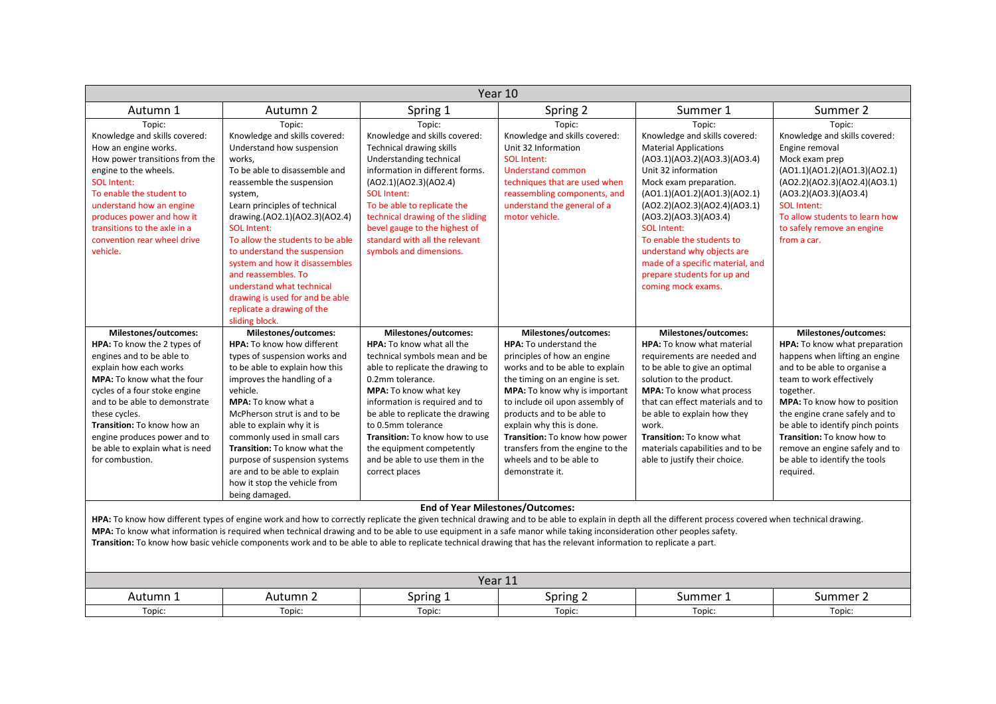| Year 10                                                                                                                                                                                                                                                                                                                                                                                                                                                                                                                                                                                         |                                                                                                                                                                                                                                                                                                                                                                                                                                                                                              |                                                                                                                                                                                                                                                                                                                                                                                           |                                                                                                                                                                                                                                                                                                                                                                                                               |                                                                                                                                                                                                                                                                                                                                                                                                                             |                                                                                                                                                                                                                                                                                                                                                                                      |  |  |
|-------------------------------------------------------------------------------------------------------------------------------------------------------------------------------------------------------------------------------------------------------------------------------------------------------------------------------------------------------------------------------------------------------------------------------------------------------------------------------------------------------------------------------------------------------------------------------------------------|----------------------------------------------------------------------------------------------------------------------------------------------------------------------------------------------------------------------------------------------------------------------------------------------------------------------------------------------------------------------------------------------------------------------------------------------------------------------------------------------|-------------------------------------------------------------------------------------------------------------------------------------------------------------------------------------------------------------------------------------------------------------------------------------------------------------------------------------------------------------------------------------------|---------------------------------------------------------------------------------------------------------------------------------------------------------------------------------------------------------------------------------------------------------------------------------------------------------------------------------------------------------------------------------------------------------------|-----------------------------------------------------------------------------------------------------------------------------------------------------------------------------------------------------------------------------------------------------------------------------------------------------------------------------------------------------------------------------------------------------------------------------|--------------------------------------------------------------------------------------------------------------------------------------------------------------------------------------------------------------------------------------------------------------------------------------------------------------------------------------------------------------------------------------|--|--|
| Autumn 1                                                                                                                                                                                                                                                                                                                                                                                                                                                                                                                                                                                        | Autumn 2                                                                                                                                                                                                                                                                                                                                                                                                                                                                                     | Spring 1                                                                                                                                                                                                                                                                                                                                                                                  | Spring 2                                                                                                                                                                                                                                                                                                                                                                                                      | Summer 1                                                                                                                                                                                                                                                                                                                                                                                                                    | Summer 2                                                                                                                                                                                                                                                                                                                                                                             |  |  |
| Topic:<br>Knowledge and skills covered:<br>How an engine works.<br>How power transitions from the<br>engine to the wheels.<br><b>SOL Intent:</b><br>To enable the student to<br>understand how an engine<br>produces power and how it<br>transitions to the axle in a<br>convention rear wheel drive<br>vehicle.                                                                                                                                                                                                                                                                                | Topic:<br>Knowledge and skills covered:<br>Understand how suspension<br>works,<br>To be able to disassemble and<br>reassemble the suspension<br>system,<br>Learn principles of technical<br>drawing.(AO2.1)(AO2.3)(AO2.4)<br><b>SOL Intent:</b><br>To allow the students to be able<br>to understand the suspension<br>system and how it disassembles<br>and reassembles. To<br>understand what technical<br>drawing is used for and be able<br>replicate a drawing of the<br>sliding block. | Topic:<br>Knowledge and skills covered:<br><b>Technical drawing skills</b><br>Understanding technical<br>information in different forms.<br>(AO2.1)(AO2.3)(AO2.4)<br><b>SOL Intent:</b><br>To be able to replicate the<br>technical drawing of the sliding<br>bevel gauge to the highest of<br>standard with all the relevant<br>symbols and dimensions.                                  | Topic:<br>Knowledge and skills covered:<br>Unit 32 Information<br><b>SOL</b> Intent:<br><b>Understand common</b><br>techniques that are used when<br>reassembling components, and<br>understand the general of a<br>motor vehicle.                                                                                                                                                                            | Topic:<br>Knowledge and skills covered:<br><b>Material Applications</b><br>(A03.1)(A03.2)(A03.3)(A03.4)<br>Unit 32 information<br>Mock exam preparation.<br>(A01.1)(A01.2)(A01.3)(A02.1)<br>(AO2.2)(AO2.3)(AO2.4)(AO3.1)<br>(AO3.2)(AO3.3)(AO3.4)<br><b>SOL Intent:</b><br>To enable the students to<br>understand why objects are<br>made of a specific material, and<br>prepare students for up and<br>coming mock exams. | Topic:<br>Knowledge and skills covered:<br>Engine removal<br>Mock exam prep<br>(A01.1)(A01.2)(A01.3)(A02.1)<br>(AO2.2)(AO2.3)(AO2.4)(AO3.1)<br>(AO3.2)(AO3.3)(AO3.4)<br><b>SOL Intent:</b><br>To allow students to learn how<br>to safely remove an engine<br>from a car.                                                                                                            |  |  |
| <b>Milestones/outcomes:</b><br>HPA: To know the 2 types of<br>engines and to be able to<br>explain how each works<br><b>MPA:</b> To know what the four<br>cycles of a four stoke engine<br>and to be able to demonstrate<br>these cycles.<br>Transition: To know how an<br>engine produces power and to<br>be able to explain what is need<br>for combustion.                                                                                                                                                                                                                                   | Milestones/outcomes:<br><b>HPA:</b> To know how different<br>types of suspension works and<br>to be able to explain how this<br>improves the handling of a<br>vehicle.<br><b>MPA:</b> To know what a<br>McPherson strut is and to be<br>able to explain why it is<br>commonly used in small cars<br>Transition: To know what the<br>purpose of suspension systems<br>are and to be able to explain<br>how it stop the vehicle from<br>being damaged.                                         | Milestones/outcomes:<br><b>HPA:</b> To know what all the<br>technical symbols mean and be<br>able to replicate the drawing to<br>0.2mm tolerance.<br>MPA: To know what key<br>information is required and to<br>be able to replicate the drawing<br>to 0.5mm tolerance<br>Transition: To know how to use<br>the equipment competently<br>and be able to use them in the<br>correct places | Milestones/outcomes:<br><b>HPA:</b> To understand the<br>principles of how an engine<br>works and to be able to explain<br>the timing on an engine is set.<br>MPA: To know why is important<br>to include oil upon assembly of<br>products and to be able to<br>explain why this is done.<br>Transition: To know how power<br>transfers from the engine to the<br>wheels and to be able to<br>demonstrate it. | <b>Milestones/outcomes:</b><br><b>HPA:</b> To know what material<br>requirements are needed and<br>to be able to give an optimal<br>solution to the product.<br>MPA: To know what process<br>that can effect materials and to<br>be able to explain how they<br>work.<br>Transition: To know what<br>materials capabilities and to be<br>able to justify their choice.                                                      | Milestones/outcomes:<br>HPA: To know what preparation<br>happens when lifting an engine<br>and to be able to organise a<br>team to work effectively<br>together.<br>MPA: To know how to position<br>the engine crane safely and to<br>be able to identify pinch points<br>Transition: To know how to<br>remove an engine safely and to<br>be able to identify the tools<br>required. |  |  |
| <b>End of Year Milestones/Outcomes:</b><br>HPA: To know how different types of engine work and how to correctly replicate the given technical drawing and to be able to explain in depth all the different process covered when technical drawing.<br>MPA: To know what information is required when technical drawing and to be able to use equipment in a safe manor while taking inconsideration other peoples safety.<br>Transition: To know how basic vehicle components work and to be able to able to replicate technical drawing that has the relevant information to replicate a part. |                                                                                                                                                                                                                                                                                                                                                                                                                                                                                              |                                                                                                                                                                                                                                                                                                                                                                                           |                                                                                                                                                                                                                                                                                                                                                                                                               |                                                                                                                                                                                                                                                                                                                                                                                                                             |                                                                                                                                                                                                                                                                                                                                                                                      |  |  |
|                                                                                                                                                                                                                                                                                                                                                                                                                                                                                                                                                                                                 |                                                                                                                                                                                                                                                                                                                                                                                                                                                                                              |                                                                                                                                                                                                                                                                                                                                                                                           | Year 11                                                                                                                                                                                                                                                                                                                                                                                                       |                                                                                                                                                                                                                                                                                                                                                                                                                             |                                                                                                                                                                                                                                                                                                                                                                                      |  |  |
| Autumn 1                                                                                                                                                                                                                                                                                                                                                                                                                                                                                                                                                                                        | Autumn 2                                                                                                                                                                                                                                                                                                                                                                                                                                                                                     | Spring 1                                                                                                                                                                                                                                                                                                                                                                                  | Spring 2                                                                                                                                                                                                                                                                                                                                                                                                      | Summer 1                                                                                                                                                                                                                                                                                                                                                                                                                    | Summer 2                                                                                                                                                                                                                                                                                                                                                                             |  |  |
| Topic:                                                                                                                                                                                                                                                                                                                                                                                                                                                                                                                                                                                          | Topic:                                                                                                                                                                                                                                                                                                                                                                                                                                                                                       | Topic:                                                                                                                                                                                                                                                                                                                                                                                    | Topic:                                                                                                                                                                                                                                                                                                                                                                                                        | Topic:                                                                                                                                                                                                                                                                                                                                                                                                                      | Topic:                                                                                                                                                                                                                                                                                                                                                                               |  |  |